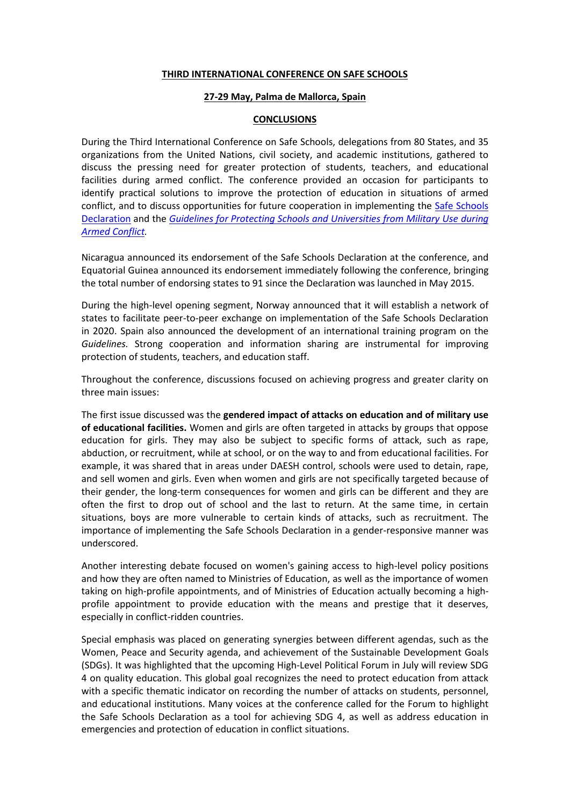## **THIRD INTERNATIONAL CONFERENCE ON SAFE SCHOOLS**

## **27-29 May, Palma de Mallorca, Spain**

## **CONCLUSIONS**

During the Third International Conference on Safe Schools, delegations from 80 States, and 35 organizations from the United Nations, civil society, and academic institutions, gathered to discuss the pressing need for greater protection of students, teachers, and educational facilities during armed conflict. The conference provided an occasion for participants to identify practical solutions to improve the protection of education in situations of armed conflict, and to discuss opportunities for future cooperation in implementing the [Safe Schools](http://www.protectingeducation.org/sites/default/files/documents/safe_schools_declaration-final.pdf)  [Declaration](http://www.protectingeducation.org/sites/default/files/documents/safe_schools_declaration-final.pdf) and the *[Guidelines for Protecting Schools and Universities from Military Use](http://www.protectingeducation.org/sites/default/files/documents/guidelines_en.pdf) during [Armed Conflict.](http://www.protectingeducation.org/sites/default/files/documents/guidelines_en.pdf)*

Nicaragua announced its endorsement of the Safe Schools Declaration at the conference, and Equatorial Guinea announced its endorsement immediately following the conference, bringing the total number of endorsing states to 91 since the Declaration was launched in May 2015.

During the high-level opening segment, Norway announced that it will establish a network of states to facilitate peer-to-peer exchange on implementation of the Safe Schools Declaration in 2020. Spain also announced the development of an international training program on the *Guidelines.* Strong cooperation and information sharing are instrumental for improving protection of students, teachers, and education staff.

Throughout the conference, discussions focused on achieving progress and greater clarity on three main issues:

The first issue discussed was the **gendered impact of attacks on education and of military use of educational facilities.** Women and girls are often targeted in attacks by groups that oppose education for girls. They may also be subject to specific forms of attack, such as rape, abduction, or recruitment, while at school, or on the way to and from educational facilities. For example, it was shared that in areas under DAESH control, schools were used to detain, rape, and sell women and girls. Even when women and girls are not specifically targeted because of their gender, the long-term consequences for women and girls can be different and they are often the first to drop out of school and the last to return. At the same time, in certain situations, boys are more vulnerable to certain kinds of attacks, such as recruitment. The importance of implementing the Safe Schools Declaration in a gender-responsive manner was underscored.

Another interesting debate focused on women's gaining access to high-level policy positions and how they are often named to Ministries of Education, as well as the importance of women taking on high-profile appointments, and of Ministries of Education actually becoming a highprofile appointment to provide education with the means and prestige that it deserves, especially in conflict-ridden countries.

Special emphasis was placed on generating synergies between different agendas, such as the Women, Peace and Security agenda, and achievement of the Sustainable Development Goals (SDGs). It was highlighted that the upcoming High-Level Political Forum in July will review SDG 4 on quality education. This global goal recognizes the need to protect education from attack with a specific thematic indicator on recording the number of attacks on students, personnel, and educational institutions. Many voices at the conference called for the Forum to highlight the Safe Schools Declaration as a tool for achieving SDG 4, as well as address education in emergencies and protection of education in conflict situations.